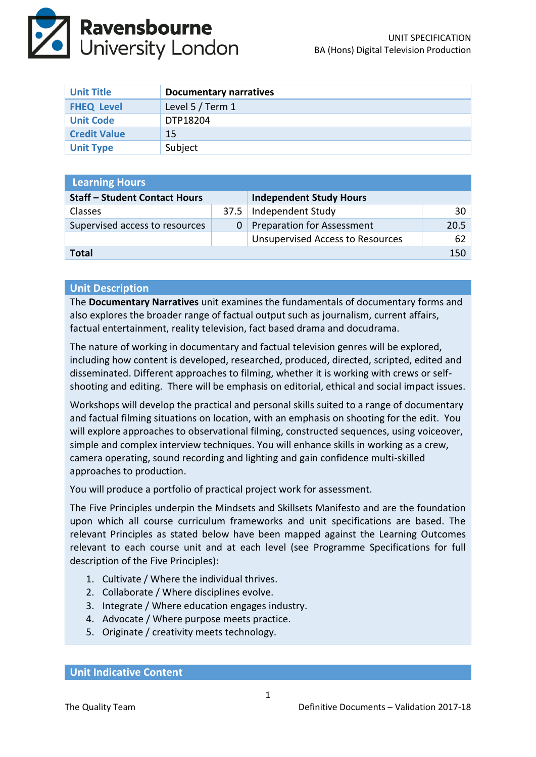

| <b>Unit Title</b>   | <b>Documentary narratives</b> |
|---------------------|-------------------------------|
| <b>FHEQ Level</b>   | Level 5 / Term 1              |
| <b>Unit Code</b>    | DTP18204                      |
| <b>Credit Value</b> | 15                            |
| <b>Unit Type</b>    | Subject                       |

| <b>Learning Hours</b>                |      |                                         |                 |  |  |
|--------------------------------------|------|-----------------------------------------|-----------------|--|--|
| <b>Staff - Student Contact Hours</b> |      | <b>Independent Study Hours</b>          |                 |  |  |
| <b>Classes</b>                       | 37.5 | Independent Study                       | 30 <sup>1</sup> |  |  |
| Supervised access to resources       | 0    | <b>Preparation for Assessment</b>       | 20.5            |  |  |
|                                      |      | <b>Unsupervised Access to Resources</b> | 62              |  |  |
| <b>Total</b><br>150                  |      |                                         |                 |  |  |

#### **Unit Description**

The **Documentary Narratives** unit examines the fundamentals of documentary forms and also explores the broader range of factual output such as journalism, current affairs, factual entertainment, reality television, fact based drama and docudrama.

The nature of working in documentary and factual television genres will be explored, including how content is developed, researched, produced, directed, scripted, edited and disseminated. Different approaches to filming, whether it is working with crews or selfshooting and editing. There will be emphasis on editorial, ethical and social impact issues.

Workshops will develop the practical and personal skills suited to a range of documentary and factual filming situations on location, with an emphasis on shooting for the edit. You will explore approaches to observational filming, constructed sequences, using voiceover, simple and complex interview techniques. You will enhance skills in working as a crew, camera operating, sound recording and lighting and gain confidence multi-skilled approaches to production.

You will produce a portfolio of practical project work for assessment.

The Five Principles underpin the Mindsets and Skillsets Manifesto and are the foundation upon which all course curriculum frameworks and unit specifications are based. The relevant Principles as stated below have been mapped against the Learning Outcomes relevant to each course unit and at each level (see Programme Specifications for full description of the Five Principles):

- 1. Cultivate / Where the individual thrives.
- 2. Collaborate / Where disciplines evolve.
- 3. Integrate / Where education engages industry.
- 4. Advocate / Where purpose meets practice.
- 5. Originate / creativity meets technology.

**Unit Indicative Content**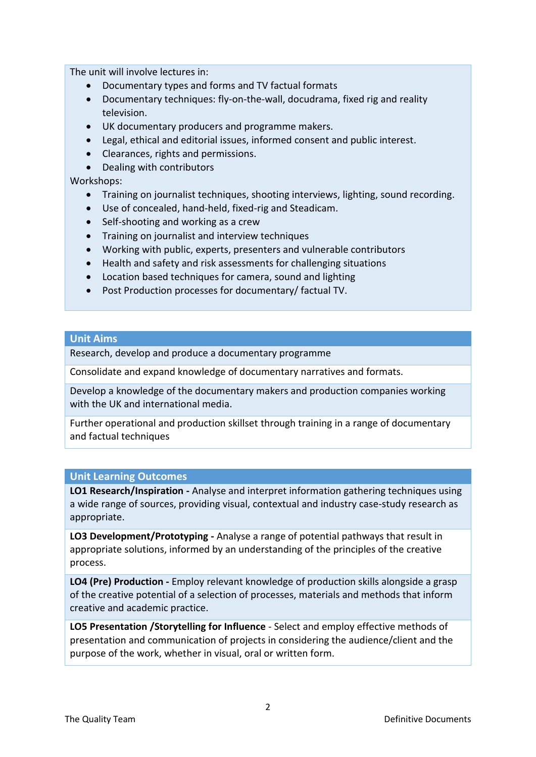The unit will involve lectures in:

- Documentary types and forms and TV factual formats
- Documentary techniques: fly-on-the-wall, docudrama, fixed rig and reality television.
- UK documentary producers and programme makers.
- Legal, ethical and editorial issues, informed consent and public interest.
- Clearances, rights and permissions.
- Dealing with contributors

Workshops:

- Training on journalist techniques, shooting interviews, lighting, sound recording.
- Use of concealed, hand-held, fixed-rig and Steadicam.
- Self-shooting and working as a crew
- Training on journalist and interview techniques
- Working with public, experts, presenters and vulnerable contributors
- Health and safety and risk assessments for challenging situations
- Location based techniques for camera, sound and lighting
- Post Production processes for documentary/ factual TV.

#### **Unit Aims**

Research, develop and produce a documentary programme

Consolidate and expand knowledge of documentary narratives and formats.

Develop a knowledge of the documentary makers and production companies working with the UK and international media.

Further operational and production skillset through training in a range of documentary and factual techniques

### **Unit Learning Outcomes**

**LO1 Research/Inspiration -** Analyse and interpret information gathering techniques using a wide range of sources, providing visual, contextual and industry case-study research as appropriate.

**LO3 Development/Prototyping -** Analyse a range of potential pathways that result in appropriate solutions, informed by an understanding of the principles of the creative process.

**LO4 (Pre) Production -** Employ relevant knowledge of production skills alongside a grasp of the creative potential of a selection of processes, materials and methods that inform creative and academic practice.

**LO5 Presentation /Storytelling for Influence** - Select and employ effective methods of presentation and communication of projects in considering the audience/client and the purpose of the work, whether in visual, oral or written form.